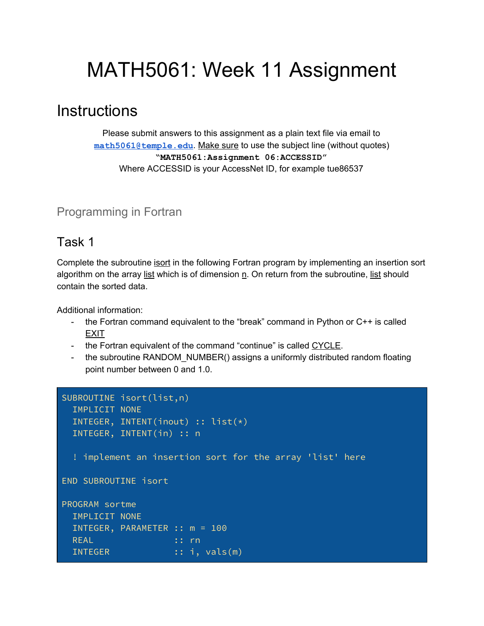# MATH5061: Week 11 Assignment

## **Instructions**

Please submit answers to this assignment as a plain text file via email to **[math5061@temple.edu](mailto:math5061@temple.edu)**. Make sure to use the subject line (without quotes) **"MATH5061:Assignment 06:ACCESSID"** Where ACCESSID is your AccessNet ID, for example tue86537

### Programming in Fortran

### Task 1

Complete the subroutine isort in the following Fortran program by implementing an insertion sort algorithm on the array list which is of dimension n. On return from the subroutine, list should contain the sorted data.

Additional information:

- the Fortran command equivalent to the "break" command in Python or  $C++$  is called EXIT
- the Fortran equivalent of the command "continue" is called CYCLE.
- the subroutine RANDOM NUMBER() assigns a uniformly distributed random floating point number between 0 and 1.0.

```
SUBROUTINE isort(list,n)
  IMPLICIT NONE
  INTEGER, INTENT(inout) :: list(*)
  INTEGER, INTENT(in) :: n
   ! implement an insertion sort for the array 'list' here
END SUBROUTINE isort
PROGRAM sortme
   IMPLICIT NONE
  INTEGER, PARAMETER :: m = 100
 REAL : rn
   INTEGER :: i, vals(m)
```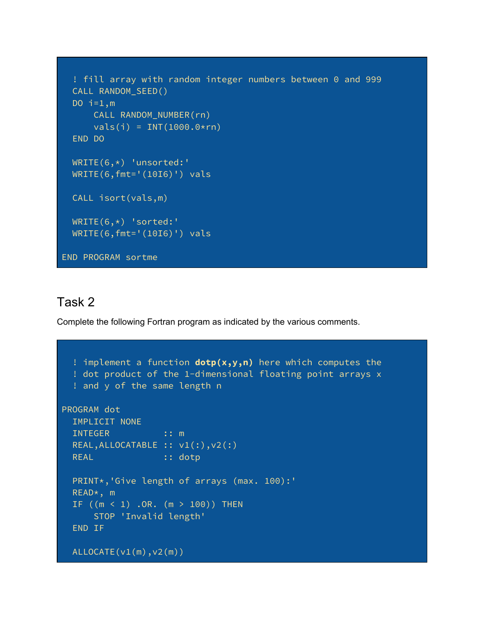```
 ! fill array with random integer numbers between 0 and 999
   CALL RANDOM_SEED()
  DO i=1,m CALL RANDOM_NUMBER(rn)
      vals(i) = INT(1000.0*rn) END DO
  WRITE(6,*) 'unsorted:'
  WRITE(6,fmt='(10I6)') vals
  CALL isort(vals,m)
  WRITE(6,*) 'sorted:'
  WRITE(6,fmt='(10I6)') vals
END PROGRAM sortme
```
#### Task 2

Complete the following Fortran program as indicated by the various comments.

```
 ! implement a function dotp(x,y,n) here which computes the
  ! dot product of the 1-dimensional floating point arrays x
   ! and y of the same length n
PROGRAM dot
  IMPLICIT NONE
 INTEGER :: m
 REAL, ALLOCATABLE :: v1(; )v2(: )
 REAL :: dotp
  PRINT*,'Give length of arrays (max. 100):'
  READ*, m
 IF ((m < 1) .OR. (m > 100)) THEN
      STOP 'Invalid length'
   END IF
 ALLOCATE(v1(m),v2(m))
```